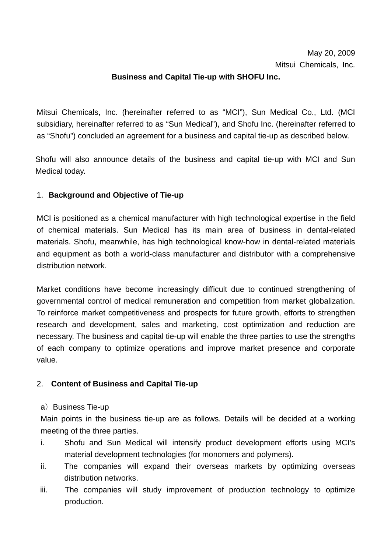## **Business and Capital Tie-up with SHOFU Inc.**

Mitsui Chemicals, Inc. (hereinafter referred to as "MCI"), Sun Medical Co., Ltd. (MCI subsidiary, hereinafter referred to as "Sun Medical"), and Shofu Inc. (hereinafter referred to as "Shofu") concluded an agreement for a business and capital tie-up as described below.

Shofu will also announce details of the business and capital tie-up with MCI and Sun Medical today.

## 1. **Background and Objective of Tie-up**

MCI is positioned as a chemical manufacturer with high technological expertise in the field of chemical materials. Sun Medical has its main area of business in dental-related materials. Shofu, meanwhile, has high technological know-how in dental-related materials and equipment as both a world-class manufacturer and distributor with a comprehensive distribution network.

Market conditions have become increasingly difficult due to continued strengthening of governmental control of medical remuneration and competition from market globalization. To reinforce market competitiveness and prospects for future growth, efforts to strengthen research and development, sales and marketing, cost optimization and reduction are necessary. The business and capital tie-up will enable the three parties to use the strengths of each company to optimize operations and improve market presence and corporate value.

# 2. **Content of Business and Capital Tie-up**

#### a) Business Tie-up

Main points in the business tie-up are as follows. Details will be decided at a working meeting of the three parties.

- i. Shofu and Sun Medical will intensify product development efforts using MCI's material development technologies (for monomers and polymers).
- ii. The companies will expand their overseas markets by optimizing overseas distribution networks.
- iii. The companies will study improvement of production technology to optimize production.